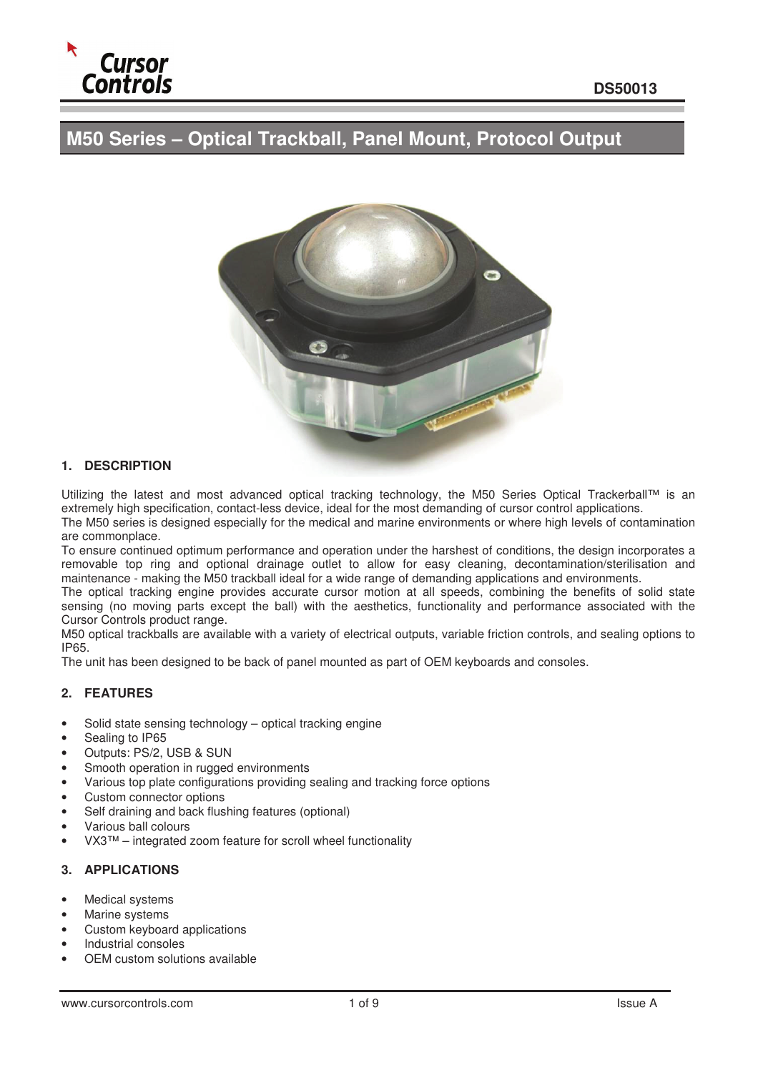

# **M50 Series – Optical Trackball, Panel Mount, Protocol Output**



#### **1. DESCRIPTION**

Utilizing the latest and most advanced optical tracking technology, the M50 Series Optical Trackerball™ is an extremely high specification, contact-less device, ideal for the most demanding of cursor control applications. The M50 series is designed especially for the medical and marine environments or where high levels of contamination are commonplace.

To ensure continued optimum performance and operation under the harshest of conditions, the design incorporates a removable top ring and optional drainage outlet to allow for easy cleaning, decontamination/sterilisation and maintenance - making the M50 trackball ideal for a wide range of demanding applications and environments.

The optical tracking engine provides accurate cursor motion at all speeds, combining the benefits of solid state sensing (no moving parts except the ball) with the aesthetics, functionality and performance associated with the Cursor Controls product range.

M50 optical trackballs are available with a variety of electrical outputs, variable friction controls, and sealing options to IP65.

The unit has been designed to be back of panel mounted as part of OEM keyboards and consoles.

#### **2. FEATURES**

- Solid state sensing technology optical tracking engine
- Sealing to IP65
- Outputs: PS/2, USB & SUN
- Smooth operation in rugged environments
- Various top plate configurations providing sealing and tracking force options
- Custom connector options
- Self draining and back flushing features (optional)
- Various ball colours
- VX3™ integrated zoom feature for scroll wheel functionality

#### **3. APPLICATIONS**

- Medical systems
- Marine systems
- Custom keyboard applications
- Industrial consoles
- OEM custom solutions available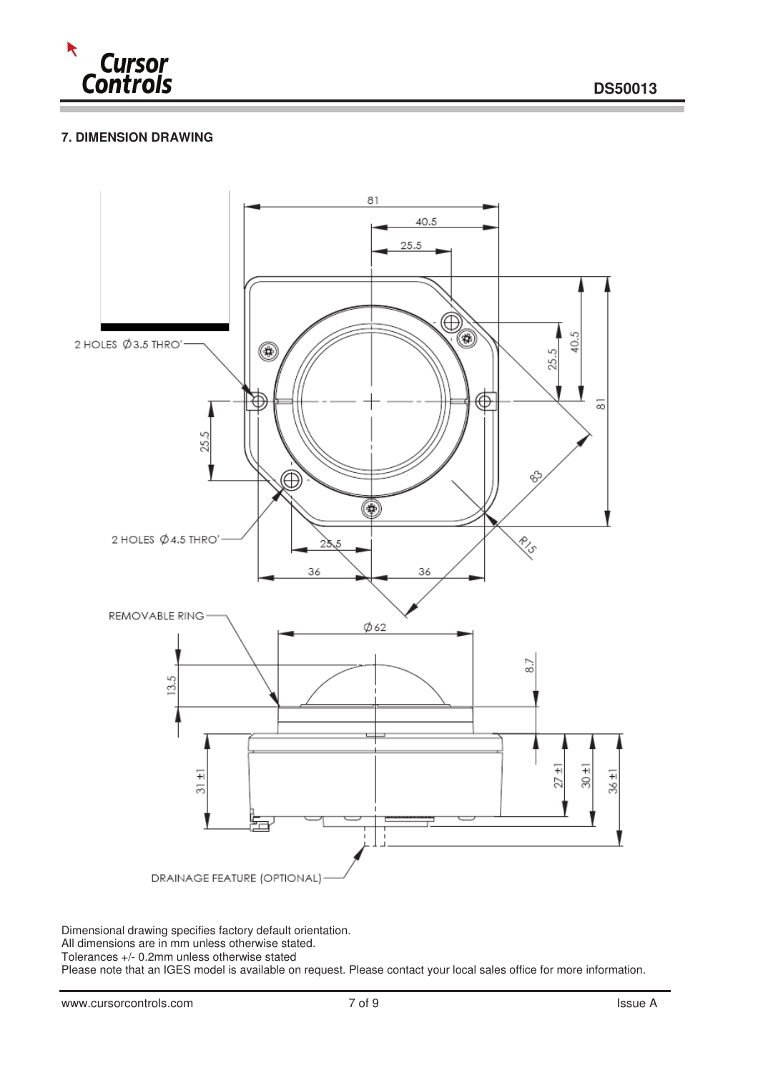

## **7. DIMENSION DRAWING**



Dimensional drawing specifies factory default orientation.

All dimensions are in mm unless otherwise stated.

Tolerances +/- 0.2mm unless otherwise stated

Please note that an IGES model is available on request. Please contact your local sales office for more information.